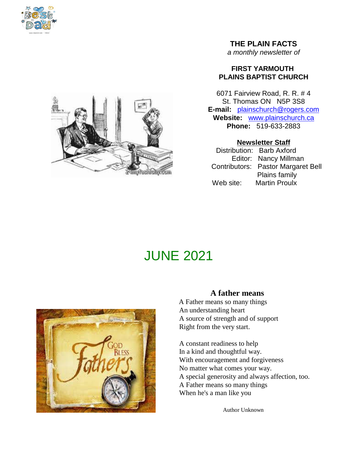



# **THE PLAIN FACTS**

*a monthly newsletter of*

#### **FIRST YARMOUTH PLAINS BAPTIST CHURCH**

6071 Fairview Road, R. R. # 4 St. Thomas ON N5P 3S8 **E-mail:** plainschurch@rogers.com **Website:** www.plainschurch.ca **Phone:** 519-633-2883

### **Newsletter Staff**

Distribution: Barb Axford Editor: Nancy Millman Contributors: Pastor Margaret Bell Plains family Web site: Martin Proulx

# JUNE 2021



# **A father means**

A Father means so many things An understanding heart A source of strength and of support Right from the very start.

A constant readiness to help In a kind and thoughtful way. With encouragement and forgiveness No matter what comes your way. A special generosity and always affection, too. A Father means so many things When he's a man like you

Author Unknown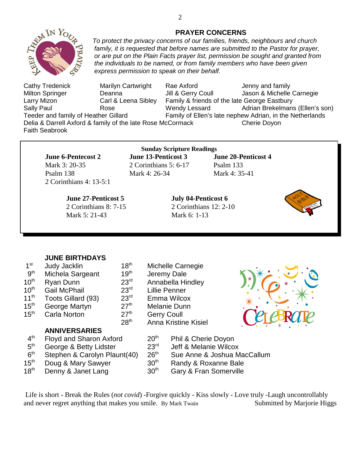

### **PRAYER CONCERNS**

*To protect the privacy concerns of our families, friends, neighbours and church family, it is requested that before names are submitted to the Pastor for prayer, or are put on the Plain Facts prayer list, permission be sought and granted from the individuals to be named, or from family members who have been given express permission to speak on their behalf.*

Cathy Tredenick Marilyn Cartwright Rae Axford Jenny and family Milton Springer **Deanna** Jill & Gerry Coull Jason & Michelle Carnegie Larry Mizon Carl & Leena Sibley Family & friends of the late George Eastbury Sally Paul **Rose** Rose Wendy Lessard Adrian Brekelmans (Ellen's son) Teeder and family of Heather Gillard Family of Ellen's late nephew Adrian, in the Netherlands Delia & Darrell Axford & family of the late Rose McCormack Cherie Doyon Faith Seabrook

**June 6-Pentecost 2 June 13-Penticost 3 June 20**-**Penticost 4** Mark 3: 20-35 2 Corinthians 5: 6-17 Psalm 133 2 Corinthians 4: 13-5:1

Psalm 138 Mark 4: 26-34 Mark 4: 35-41

**Sunday Scripture Readings**

Mark 5: 21-43 Mark 6: 1-13

**June 27**-**Penticost 5 July 04-Penticost 6** 2 Corinthians 8: 7-15 2 Corinthians 12: 2-10



### **JUNE BIRTHDAYS**

| 1 <sup>st</sup>  | <b>Judy Jacklin</b>            | 18 <sup>th</sup> | <b>Michelle Carnegie</b> |                            |  |  |
|------------------|--------------------------------|------------------|--------------------------|----------------------------|--|--|
| 9 <sup>th</sup>  | Michela Sargeant               | 19 <sup>th</sup> |                          | Jeremy Dale                |  |  |
| 10 <sup>th</sup> | Ryan Dunn                      | 23 <sup>rd</sup> | Annabella Hindley        |                            |  |  |
| 10 <sup>th</sup> | <b>Gail McPhail</b>            | 23 <sup>rd</sup> | <b>Lillie Penner</b>     |                            |  |  |
| 11 <sup>th</sup> | Toots Gillard (93)             | 23 <sup>rd</sup> | Emma Wilcox              |                            |  |  |
| 15 <sup>th</sup> | George Martyn                  | 27 <sup>th</sup> | Melanie Dunn             |                            |  |  |
| 15 <sup>th</sup> | <b>Carla Norton</b>            | 27 <sup>th</sup> | <b>Gerry Coull</b>       |                            |  |  |
|                  |                                | 28 <sup>th</sup> |                          | <b>Anna Kristine Kisie</b> |  |  |
|                  | <b>ANNIVERSARIES</b>           |                  |                          |                            |  |  |
| 4 <sup>th</sup>  | <b>Floyd and Sharon Axford</b> |                  | 20 <sup>th</sup>         | Phil & Cher                |  |  |
|                  |                                |                  |                          |                            |  |  |

- $5<sup>th</sup>$
- $6<sup>th</sup>$
- 
- $18<sup>th</sup>$  Denny & Janet Lang  $30<sup>th</sup>$  Gary & Fran Somerville
- e Carnegie ristine Kisiel



- Phil & Cherie Doyon
- George & Betty Lidster 23<sup>rd</sup> Jeff & Melanie Wilcox
- Stephen & Carolyn Plaunt(40) 26<sup>th</sup> Sue Anne & Joshua MacCallum
- 15<sup>th</sup> Doug & Mary Sawyer 30<sup>th</sup> Randy & Roxanne Bale
	-

Life is short - Break the Rules (*not covid*) -Forgive quickly - Kiss slowly - Love truly -Laugh uncontrollably and never regret anything that makes you smile. By Mark Twain Submitted by Marjorie Higgs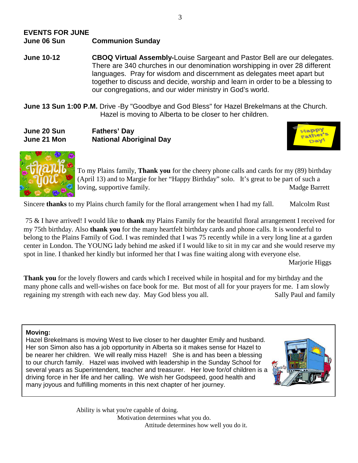# **EVENTS FOR JUNE June 06 Sun Communion Sunday**

**June 10-12 CBOQ Virtual Assembly-**Louise Sargeant and Pastor Bell are our delegates. There are 340 churches in our denomination worshipping in over 28 different languages. Pray for wisdom and discernment as delegates meet apart but together to discuss and decide, worship and learn in order to be a blessing to our congregations, and our wider ministry in God's world.

**June 13 Sun 1:00 P.M.** Drive -By "Goodbye and God Bless" for Hazel Brekelmans at the Church. Hazel is moving to Alberta to be closer to her children.

**June 20 Sun Fathers' Day June 21 Mon National Aboriginal Day**





To my Plains family, **Thank you** for the cheery phone calls and cards for my (89) birthday (April 13) and to Margie for her "Happy Birthday" solo. It's great to be part of such a loving, supportive family. Madge Barrett

Sincere **thanks** to my Plains church family for the floral arrangement when I had my fall. Malcolm Rust

75 & I have arrived! I would like to **thank** my Plains Family for the beautiful floral arrangement I received for my 75th birthday. Also **thank you** for the many heartfelt birthday cards and phone calls. It is wonderful to belong to the Plains Family of God. I was reminded that I was 75 recently while in a very long line at a garden center in London. The YOUNG lady behind me asked if I would like to sit in my car and she would reserve my spot in line. I thanked her kindly but informed her that I was fine waiting along with everyone else.

Marjorie Higgs

**Thank you** for the lovely flowers and cards which I received while in hospital and for my birthday and the many phone calls and well-wishes on face book for me. But most of all for your prayers for me. I am slowly regaining my strength with each new day. May God bless you all. Sally Paul and family

# **Moving:**

Hazel Brekelmans is moving West to live closer to her daughter Emily and husband. Her son Simon also has a job opportunity in Alberta so it makes sense for Hazel to be nearer her children. We will really miss Hazel! She is and has been a blessing to our church family. Hazel was involved with leadership in the Sunday School for several years as Superintendent, teacher and treasurer. Her love for/of children is a driving force in her life and her calling. We wish her Godspeed, good health and many joyous and fulfilling moments in this next chapter of her journey.



Ability is what you're capable of doing. Motivation determines what you do. Attitude determines how well you do it.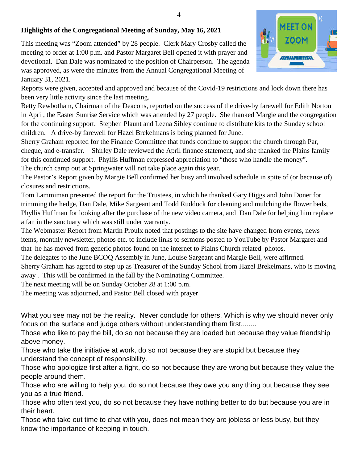# **Highlights of the Congregational Meeting of Sunday, May 16, 2021**

This meeting was "Zoom attended" by 28 people. Clerk Mary Crosby called the meeting to order at 1:00 p.m. and Pastor Margaret Bell opened it with prayer and devotional. Dan Dale was nominated to the position of Chairperson. The agenda was approved, as were the minutes from the Annual Congregational Meeting of January 31, 2021.



Reports were given, accepted and approved and because of the Covid-19 restrictions and lock down there has been very little activity since the last meeting.

Betty Rewbotham, Chairman of the Deacons, reported on the success of the drive-by farewell for Edith Norton in April, the Easter Sunrise Service which was attended by 27 people. She thanked Margie and the congregation for the continuing support. Stephen Plaunt and Leena Sibley continue to distribute kits to the Sunday school children. A drive-by farewell for Hazel Brekelmans is being planned for June.

Sherry Graham reported for the Finance Committee that funds continue to support the church through Par, cheque, and e-transfer. Shirley Dale reviewed the April finance statement, and she thanked the Plains family for this continued support. Phyllis Huffman expressed appreciation to "those who handle the money". The church camp out at Springwater will not take place again this year.

The Pastor's Report given by Margie Bell confirmed her busy and involved schedule in spite of (or because of) closures and restrictions.

Tom Lammiman presented the report for the Trustees, in which he thanked Gary Higgs and John Doner for trimming the hedge, Dan Dale, Mike Sargeant and Todd Ruddock for cleaning and mulching the flower beds, Phyllis Huffman for looking after the purchase of the new video camera, and Dan Dale for helping him replace a fan in the sanctuary which was still under warranty.

The Webmaster Report from Martin Proulx noted that postings to the site have changed from events, news items, monthly newsletter, photos etc. to include links to sermons posted to YouTube by Pastor Margaret and that he has moved from generic photos found on the internet to Plains Church related photos.

The delegates to the June BCOQ Assembly in June, Louise Sargeant and Margie Bell, were affirmed. Sherry Graham has agreed to step up as Treasurer of the Sunday School from Hazel Brekelmans, who is moving away . This will be confirmed in the fall by the Nominating Committee.

The next meeting will be on Sunday October 28 at 1:00 p.m.

The meeting was adjourned, and Pastor Bell closed with prayer

What you see may not be the reality. Never conclude for others. Which is why we should never only focus on the surface and judge others without understanding them first........

Those who like to pay the bill, do so not because they are loaded but because they value friendship above money.

Those who take the initiative at work, do so not because they are stupid but because they understand the concept of responsibility.

Those who apologize first after a fight, do so not because they are wrong but because they value the people around them.

Those who are willing to help you, do so not because they owe you any thing but because they see you as a true friend.

Those who often text you, do so not because they have nothing better to do but because you are in their heart.

Those who take out time to chat with you, does not mean they are jobless or less busy, but they know the importance of keeping in touch.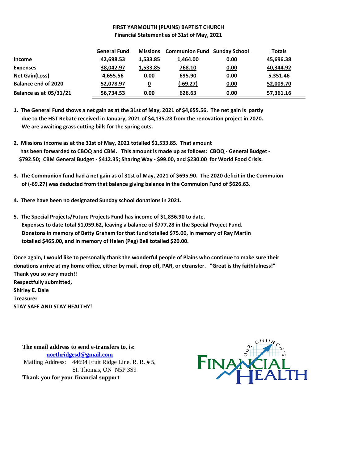#### **FIRST YARMOUTH (PLAINS) BAPTIST CHURCH Financial Statement as of 31st of May, 2021**

|                               | <b>General Fund</b> | <b>Missions</b> | <b>Communion Fund Sunday School</b> |      | Totals    |
|-------------------------------|---------------------|-----------------|-------------------------------------|------|-----------|
| Income                        | 42,698.53           | 1.533.85        | 1,464.00                            | 0.00 | 45,696.38 |
| <b>Expenses</b>               | 38,042.97           | 1,533.85        | 768.10                              | 0.00 | 40,344.92 |
| <b>Net Gain(Loss)</b>         | 4,655.56            | 0.00            | 695.90                              | 0.00 | 5,351.46  |
| <b>Balance end of 2020</b>    | 52,078.97           | 0               | $(-69.27)$                          | 0.00 | 52,009.70 |
| <b>Balance as at 05/31/21</b> | 56,734.53           | 0.00            | 626.63                              | 0.00 | 57,361.16 |

**1. The General Fund shows a net gain as at the 31st of May, 2021 of \$4,655.56. The net gain is partly due to the HST Rebate received in January, 2021 of \$4,135.28 from the renovation project in 2020. We are awaiting grass cutting bills for the spring cuts.**

- **2. Missions income as at the 31st of May, 2021 totalled \$1,533.85. That amount has been forwarded to CBOQ and CBM. This amount is made up as follows: CBOQ - General Budget - \$792.50; CBM General Budget - \$412.35; Sharing Way - \$99.00, and \$230.00 for World Food Crisis.**
- **3. The Communion fund had a net gain as of 31st of May, 2021 of \$695.90. The 2020 deficit in the Commuion of (-69.27) was deducted from that balance giving balance in the Commuion Fund of \$626.63.**
- **4. There have been no designated Sunday school donations in 2021.**
- **5. The Special Projects/Future Projects Fund has income of \$1,836.90 to date. Expenses to date total \$1,059.62, leaving a balance of \$777.28 in the Special Project Fund. Donatons in memory of Betty Graham for that fund totalled \$75.00, in memory of Ray Martin totalled \$465.00, and in memory of Helen (Peg) Bell totalled \$20.00.**

**Once again, I would like to personally thank the wonderful people of Plains who continue to make sure their donations arrive at my home office, either by mail, drop off, PAR, or etransfer. "Great is thy faithfulness!" Thank you so very much!! Respectfully submitted, Shirley E. Dale Treasurer STAY SAFE AND STAY HEALTHY!**

**The email address to send e-transfers to, is: northridgesd@gmail.com** Mailing Address: 44694 Fruit Ridge Line, R. R. # 5, St. Thomas, ON N5P 3S9 **Thank you for your financial support**

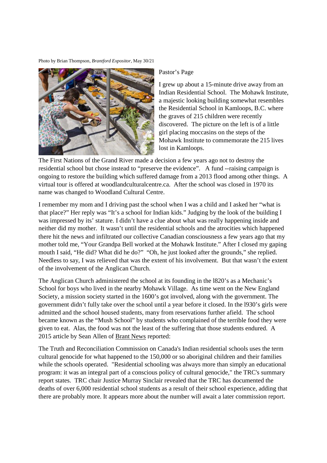Photo by Brian Thompson, *Brantford Expositor,* May 30/21



#### Pastor's Page

I grew up about a 15-minute drive away from an Indian Residential School. The Mohawk Institute, a majestic looking building somewhat resembles the Residential School in Kamloops, B.C. where the graves of 215 children were recently discovered. The picture on the left is of a little girl placing moccasins on the steps of the Mohawk Institute to commemorate the 215 lives lost in Kamloops.

The First Nations of the Grand River made a decision a few years ago not to destroy the residential school but chose instead to "preserve the evidence". A fund --raising campaign is ongoing to restore the building which suffered damage from a 2013 flood among other things. A virtual tour is offered at woodlandculturalcentre.ca. After the school was closed in 1970 its name was changed to Woodland Cultural Centre.

I remember my mom and I driving past the school when I was a child and I asked her "what is that place?" Her reply was "It's a school for Indian kids." Judging by the look of the building I was impressed by its' stature. I didn't have a clue about what was really happening inside and neither did my mother. It wasn't until the residential schools and the atrocities which happened there hit the news and infiltrated our collective Canadian consciousness a few years ago that my mother told me, "Your Grandpa Bell worked at the Mohawk Institute." After I closed my gaping mouth I said, "He did? What did he do?" "Oh, he just looked after the grounds," she replied. Needless to say, I was relieved that was the extent of his involvement. But that wasn't the extent of the involvement of the Anglican Church.

The Anglican Church administered the school at its founding in the l820's as a Mechanic's School for boys who lived in the nearby Mohawk Village. As time went on the New England Society, a mission society started in the 1600's got involved, along with the government. The government didn't fully take over the school until a year before it closed. In the l930's girls were admitted and the school housed students, many from reservations further afield. The school became known as the "Mush School" by students who complained of the terrible food they were given to eat. Alas, the food was not the least of the suffering that those students endured. A 2015 article by Sean Allen of Brant News reported:

The Truth and Reconciliation Commission on Canada's Indian residential schools uses the term cultural genocide for what happened to the 150,000 or so aboriginal children and their families while the schools operated. "Residential schooling was always more than simply an educational program: it was an integral part of a conscious policy of cultural genocide," the TRC's summary report states. TRC chair Justice Murray Sinclair revealed that the TRC has documented the deaths of over 6,000 residential school students as a result of their school experience, adding that there are probably more. It appears more about the number will await a later commission report.